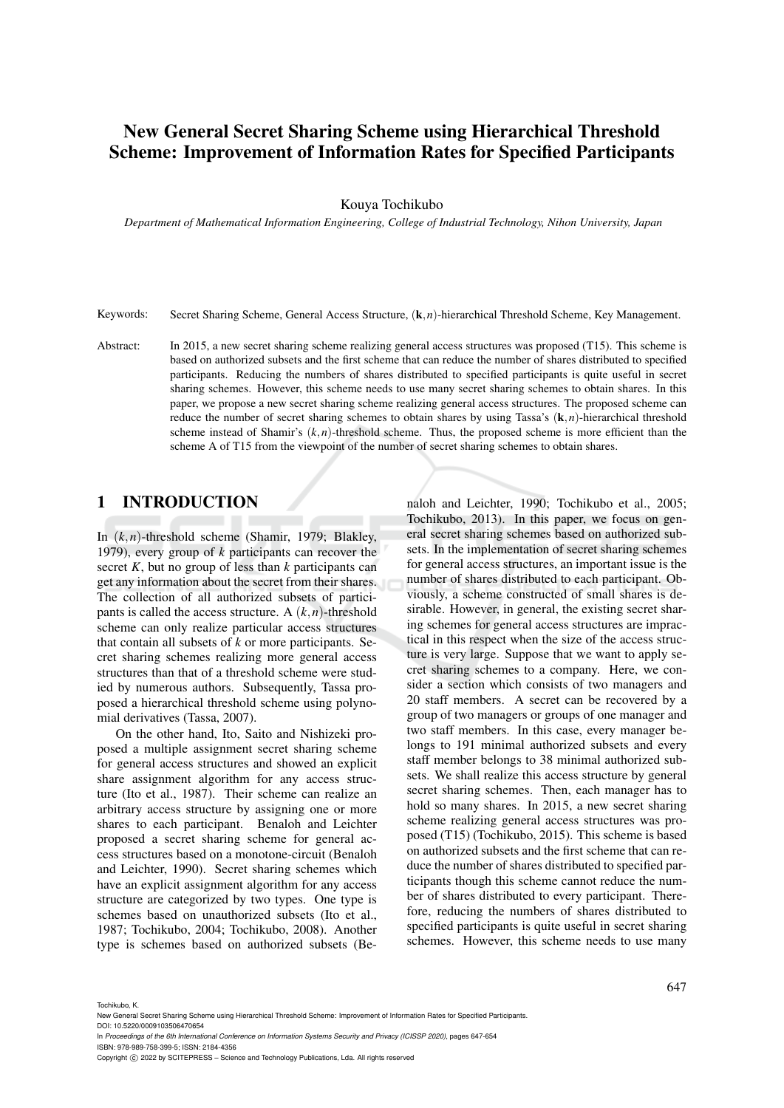# New General Secret Sharing Scheme using Hierarchical Threshold Scheme: Improvement of Information Rates for Specified Participants

Kouya Tochikubo

*Department of Mathematical Information Engineering, College of Industrial Technology, Nihon University, Japan*

Keywords: Secret Sharing Scheme, General Access Structure, (k,*n*)-hierarchical Threshold Scheme, Key Management.

Abstract: In 2015, a new secret sharing scheme realizing general access structures was proposed (T15). This scheme is based on authorized subsets and the first scheme that can reduce the number of shares distributed to specified participants. Reducing the numbers of shares distributed to specified participants is quite useful in secret sharing schemes. However, this scheme needs to use many secret sharing schemes to obtain shares. In this paper, we propose a new secret sharing scheme realizing general access structures. The proposed scheme can reduce the number of secret sharing schemes to obtain shares by using Tassa's  $(k, n)$ -hierarchical threshold scheme instead of Shamir's  $(k, n)$ -threshold scheme. Thus, the proposed scheme is more efficient than the scheme A of T15 from the viewpoint of the number of secret sharing schemes to obtain shares.

### 1 INTRODUCTION

In (*k*,*n*)-threshold scheme (Shamir, 1979; Blakley, 1979), every group of *k* participants can recover the secret *K*, but no group of less than *k* participants can get any information about the secret from their shares. The collection of all authorized subsets of participants is called the access structure. A  $(k, n)$ -threshold scheme can only realize particular access structures that contain all subsets of *k* or more participants. Secret sharing schemes realizing more general access structures than that of a threshold scheme were studied by numerous authors. Subsequently, Tassa proposed a hierarchical threshold scheme using polynomial derivatives (Tassa, 2007).

On the other hand, Ito, Saito and Nishizeki proposed a multiple assignment secret sharing scheme for general access structures and showed an explicit share assignment algorithm for any access structure (Ito et al., 1987). Their scheme can realize an arbitrary access structure by assigning one or more shares to each participant. Benaloh and Leichter proposed a secret sharing scheme for general access structures based on a monotone-circuit (Benaloh and Leichter, 1990). Secret sharing schemes which have an explicit assignment algorithm for any access structure are categorized by two types. One type is schemes based on unauthorized subsets (Ito et al., 1987; Tochikubo, 2004; Tochikubo, 2008). Another type is schemes based on authorized subsets (Benaloh and Leichter, 1990; Tochikubo et al., 2005; Tochikubo, 2013). In this paper, we focus on general secret sharing schemes based on authorized subsets. In the implementation of secret sharing schemes for general access structures, an important issue is the number of shares distributed to each participant. Obviously, a scheme constructed of small shares is desirable. However, in general, the existing secret sharing schemes for general access structures are impractical in this respect when the size of the access structure is very large. Suppose that we want to apply secret sharing schemes to a company. Here, we consider a section which consists of two managers and 20 staff members. A secret can be recovered by a group of two managers or groups of one manager and two staff members. In this case, every manager belongs to 191 minimal authorized subsets and every staff member belongs to 38 minimal authorized subsets. We shall realize this access structure by general secret sharing schemes. Then, each manager has to hold so many shares. In 2015, a new secret sharing scheme realizing general access structures was proposed (T15) (Tochikubo, 2015). This scheme is based on authorized subsets and the first scheme that can reduce the number of shares distributed to specified participants though this scheme cannot reduce the number of shares distributed to every participant. Therefore, reducing the numbers of shares distributed to specified participants is quite useful in secret sharing schemes. However, this scheme needs to use many

Tochikubo, K.

ISBN: 978-989-758-399-5; ISSN: 2184-4356

New General Secret Sharing Scheme using Hierarchical Threshold Scheme: Improvement of Information Rates for Specified Participants. DOI: 10.5220/0009103506470654

In *Proceedings of the 6th International Conference on Information Systems Security and Privacy (ICISSP 2020)*, pages 647-654

Copyright (C) 2022 by SCITEPRESS - Science and Technology Publications, Lda. All rights reserved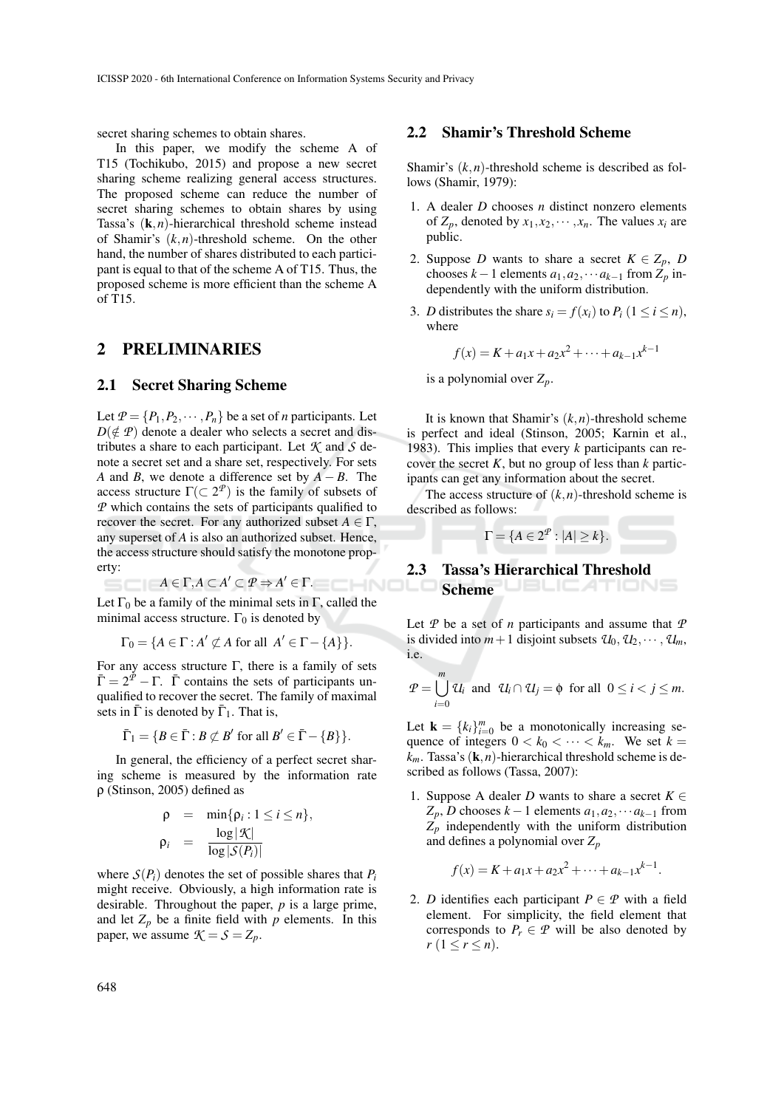secret sharing schemes to obtain shares.

In this paper, we modify the scheme A of T15 (Tochikubo, 2015) and propose a new secret sharing scheme realizing general access structures. The proposed scheme can reduce the number of secret sharing schemes to obtain shares by using Tassa's (k,*n*)-hierarchical threshold scheme instead of Shamir's (*k*,*n*)-threshold scheme. On the other hand, the number of shares distributed to each participant is equal to that of the scheme A of T15. Thus, the proposed scheme is more efficient than the scheme A of T15.

#### 2 PRELIMINARIES

#### 2.1 Secret Sharing Scheme

Let  $P = \{P_1, P_2, \dots, P_n\}$  be a set of *n* participants. Let  $D(\notin \mathcal{P})$  denote a dealer who selects a secret and distributes a share to each participant. Let *K* and *S* denote a secret set and a share set, respectively. For sets *A* and *B*, we denote a difference set by *A* − *B*. The access structure  $\Gamma(\subset 2^{\mathcal{P}})$  is the family of subsets of *P* which contains the sets of participants qualified to recover the secret. For any authorized subset  $A \in \Gamma$ , any superset of *A* is also an authorized subset. Hence, the access structure should satisfy the monotone property:

 $A \in \Gamma, A \subset A' \subset \mathcal{P} \Rightarrow A' \in \Gamma.$ 

Let  $\Gamma_0$  be a family of the minimal sets in  $\Gamma$ , called the minimal access structure.  $\Gamma_0$  is denoted by

$$
\Gamma_0 = \{ A \in \Gamma : A' \not\subset A \text{ for all } A' \in \Gamma - \{ A \} \}.
$$

For any access structure Γ, there is a family of sets  $\bar{\Gamma} = 2^{\bar{P}} - \Gamma$ .  $\bar{\Gamma}$  contains the sets of participants unqualified to recover the secret. The family of maximal sets in  $\bar{\Gamma}$  is denoted by  $\bar{\Gamma}_1$ . That is,

$$
\overline{\Gamma}_1 = \{ B \in \overline{\Gamma} : B \not\subset B' \text{ for all } B' \in \overline{\Gamma} - \{B\} \}.
$$

In general, the efficiency of a perfect secret sharing scheme is measured by the information rate ρ (Stinson, 2005) defined as

$$
\rho = \min{\rho_i : 1 \le i \le n},
$$
  
\n
$$
\rho_i = \frac{\log |\mathcal{K}|}{\log |\mathcal{S}(P_i)|}
$$

where  $S(P_i)$  denotes the set of possible shares that  $P_i$ might receive. Obviously, a high information rate is desirable. Throughout the paper, *p* is a large prime, and let  $Z_p$  be a finite field with  $p$  elements. In this paper, we assume  $K = S = Z_p$ .

#### 2.2 Shamir's Threshold Scheme

Shamir's  $(k, n)$ -threshold scheme is described as follows (Shamir, 1979):

- 1. A dealer *D* chooses *n* distinct nonzero elements of  $Z_p$ , denoted by  $x_1, x_2, \dots, x_n$ . The values  $x_i$  are public.
- 2. Suppose *D* wants to share a secret  $K \in Z_p$ , *D* chooses  $k-1$  elements  $a_1, a_2, \cdots a_{k-1}$  from  $\overline{Z}_p$  independently with the uniform distribution.
- 3. *D* distributes the share  $s_i = f(x_i)$  to  $P_i$  ( $1 \le i \le n$ ), where

$$
f(x) = K + a_1x + a_2x^2 + \dots + a_{k-1}x^{k-1}
$$

is a polynomial over  $Z_p$ .

It is known that Shamir's  $(k, n)$ -threshold scheme is perfect and ideal (Stinson, 2005; Karnin et al., 1983). This implies that every *k* participants can recover the secret *K*, but no group of less than *k* participants can get any information about the secret.

The access structure of  $(k, n)$ -threshold scheme is described as follows:



### 2.3 Tassa's Hierarchical Threshold Scheme UBLICATIONS

Let *P* be a set of *n* participants and assume that *P* is divided into  $m+1$  disjoint subsets  $\mathcal{U}_0, \mathcal{U}_2, \cdots, \mathcal{U}_m$ , i.e.

$$
P=\bigcup_{i=0}^m\mathcal{U}_i\ \text{ and }\ \mathcal{U}_i\cap\mathcal{U}_j=\emptyset\ \text{ for all }\ 0\leq i
$$

Let **k** =  $\{k_i\}_{i=0}^m$  be a monotonically increasing sequence of integers  $0 < k_0 < \cdots < k_m$ . We set  $k =$  $k_m$ . Tassa's  $(\mathbf{k}, n)$ -hierarchical threshold scheme is described as follows (Tassa, 2007):

1. Suppose A dealer *D* wants to share a secret  $K \in$  $Z_p$ , *D* chooses  $k-1$  elements  $a_1, a_2, \cdots a_{k-1}$  from  $Z_p$  independently with the uniform distribution and defines a polynomial over *Z<sup>p</sup>*

$$
f(x) = K + a_1x + a_2x^2 + \cdots + a_{k-1}x^{k-1}.
$$

2. *D* identifies each participant  $P \in \mathcal{P}$  with a field element. For simplicity, the field element that corresponds to  $P_r \in \mathcal{P}$  will be also denoted by  $r (1 \le r \le n)$ .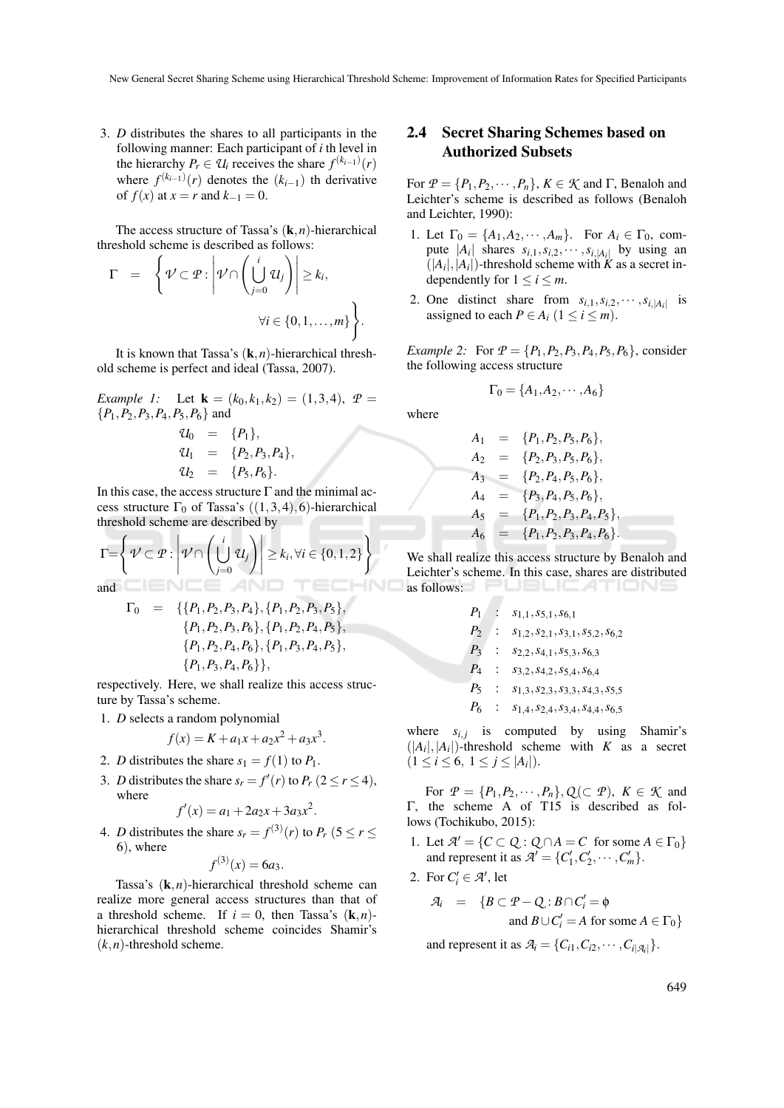3. *D* distributes the shares to all participants in the following manner: Each participant of *i* th level in the hierarchy  $P_r \in U_i$  receives the share  $f^{(k_{i-1})}(r)$ where  $f^{(k_{i-1})}(r)$  denotes the  $(k_{i-1})$  th derivative of  $f(x)$  at  $x = r$  and  $k_{-1} = 0$ .

The access structure of Tassa's (k,*n*)-hierarchical threshold scheme is described as follows:

$$
\Gamma = \left\{ \mathcal{V} \subset \mathcal{P} : \left| \mathcal{V} \cap \left( \bigcup_{j=0}^{i} \mathcal{U}_{j} \right) \right| \geq k_{i}, \right\}
$$

$$
\forall i \in \{0, 1, ..., m\} \right\}.
$$

It is known that Tassa's  $(k, n)$ -hierarchical threshold scheme is perfect and ideal (Tassa, 2007).

*Example 1:* Let  $\mathbf{k} = (k_0, k_1, k_2) = (1, 3, 4), P =$ {*P*1,*P*2,*P*3,*P*4,*P*5,*P*6} and

$$
\begin{array}{rcl}\nU_0 & = & \{P_1\}, \\
U_1 & = & \{P_2, P_3, P_4\}, \\
U_2 & = & \{P_5, P_6\}.\n\end{array}
$$

In this case, the access structure  $\Gamma$  and the minimal access structure  $\Gamma_0$  of Tassa's  $((1,3,4),6)$ -hierarchical threshold scheme are described by

$$
\Gamma = \left\{ \mathcal{V} \subset \mathcal{P} : \left| \mathcal{V} \cap \left( \bigcup_{j=0}^{i} \mathcal{U}_j \right) \right| \geq k_i, \forall i \in \{0, 1, 2\} \right\}
$$

and

$$
\Gamma_0 = \{ \{P_1, P_2, P_3, P_4\}, \{P_1, P_2, P_3, P_5\}, \{P_1, P_2, P_3, P_6\}, \{P_1, P_2, P_4, P_5\}, \{P_1, P_2, P_4, P_6\}, \{P_1, P_3, P_4, P_5\}, \{P_1, P_3, P_4, P_6\} \},
$$

respectively. Here, we shall realize this access structure by Tassa's scheme.

1. *D* selects a random polynomial

$$
f(x) = K + a_1x + a_2x^2 + a_3x^3.
$$

- 2. *D* distributes the share  $s_1 = f(1)$  to  $P_1$ .
- 3. *D* distributes the share  $s_r = f'(r)$  to  $P_r$  (2  $\le r \le 4$ ), where

$$
f'(x) = a_1 + 2a_2x + 3a_3x^2.
$$

4. *D* distributes the share  $s_r = f^{(3)}(r)$  to  $P_r$  (5  $\le r \le$ 6), where

$$
f^{(3)}(x) = 6a_3.
$$

Tassa's  $(k, n)$ -hierarchical threshold scheme can realize more general access structures than that of a threshold scheme. If  $i = 0$ , then Tassa's  $(k, n)$ hierarchical threshold scheme coincides Shamir's  $(k, n)$ -threshold scheme.

### 2.4 Secret Sharing Schemes based on Authorized Subsets

For  $P = \{P_1, P_2, \dots, P_n\}$ ,  $K \in \mathcal{K}$  and  $\Gamma$ , Benaloh and Leichter's scheme is described as follows (Benaloh and Leichter, 1990):

- 1. Let  $\Gamma_0 = \{A_1, A_2, \dots, A_m\}$ . For  $A_i \in \Gamma_0$ , compute  $|A_i|$  shares  $s_{i,1}, s_{i,2}, \dots, s_{i,|A_i|}$  by using an  $(|A_i|, |A_i|)$ -threshold scheme with *K* as a secret independently for  $1 \le i \le m$ .
- 2. One distinct share from  $s_{i,1}, s_{i,2}, \cdots, s_{i,|A_i|}$  is assigned to each  $P \in A_i$  ( $1 \le i \le m$ ).

*Example 2:* For  $P = \{P_1, P_2, P_3, P_4, P_5, P_6\}$ , consider the following access structure

$$
\Gamma_0 = \{A_1, A_2, \cdots, A_6\}
$$

where

$$
A_1 = \{P_1, P_2, P_5, P_6\},
$$
  
\n
$$
A_2 = \{P_2, P_3, P_5, P_6\},
$$
  
\n
$$
A_3 = \{P_2, P_4, P_5, P_6\},
$$
  
\n
$$
A_4 = \{P_3, P_4, P_5, P_6\},
$$
  
\n
$$
A_5 = \{P_1, P_2, P_3, P_4, P_5\},
$$
  
\n
$$
A_6 = \{P_1, P_2, P_3, P_4, P_6\}.
$$

We shall realize this access structure by Benaloh and Leichter's scheme. In this case, shares are distributed as follows: PUBLICATIONS

$$
P_1: s_{1,1}, s_{5,1}, s_{6,1}
$$
  
\n
$$
P_2: s_{1,2}, s_{2,1}, s_{3,1}, s_{5,2}, s_{6,2}
$$
  
\n
$$
P_3: s_{2,2}, s_{4,1}, s_{5,3}, s_{6,3}
$$
  
\n
$$
P_4: s_{3,2}, s_{4,2}, s_{5,4}, s_{6,4}
$$
  
\n
$$
P_5: s_{1,3}, s_{2,3}, s_{3,3}, s_{4,3}, s_{5,5}
$$
  
\n
$$
P_6: s_{1,4}, s_{2,4}, s_{3,4}, s_{4,4}, s_{6,5}
$$

where  $s_{i,j}$  is computed by using Shamir's  $(|A_i|, |A_i|)$ -threshold scheme with *K* as a secret  $(1 \leq i \leq 6, 1 \leq j \leq |A_i|).$ 

For  $\mathcal{P} = \{P_1, P_2, \dots, P_n\}, Q(\subset \mathcal{P}), K \in \mathcal{K}$  and Γ, the scheme A of T15 is described as follows (Tochikubo, 2015):

- 1. Let  $\mathcal{A}' = \{C \subset Q : Q \cap A = C \text{ for some } A \in \Gamma_0\}$ and represent it as  $\mathcal{A}' = \{C'_1, C'_2, \cdots, C'_m\}.$
- 2. For  $C_i' \in \mathcal{A}'$ , let

$$
\mathcal{A}_i = \{ B \subset \mathcal{P} - \mathcal{Q} : B \cap C'_i = \emptyset
$$
  
and 
$$
B \cup C'_i = A \text{ for some } A \in \Gamma_0 \}
$$

and represent it as  $\mathcal{A}_i = \{C_{i1}, C_{i2}, \cdots, C_{i|\mathcal{A}_i|}\}.$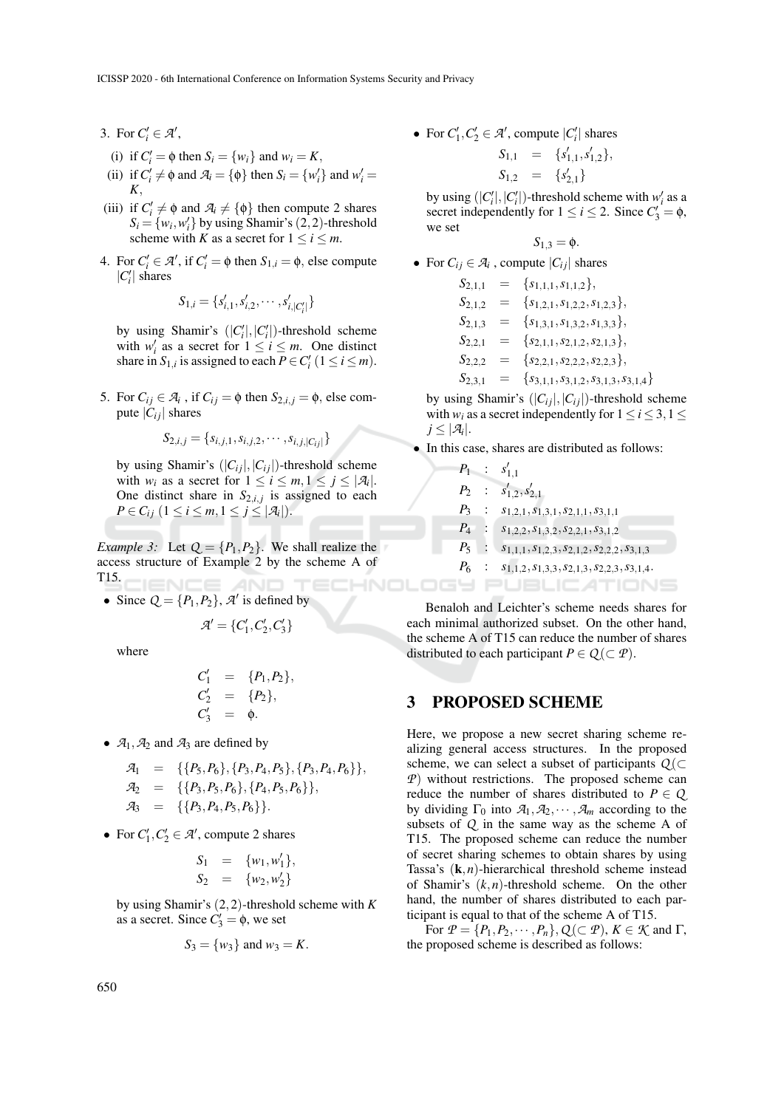- 3. For  $C_i' \in \mathcal{A}'$ ,
- (i) if  $C_i' = \phi$  then  $S_i = \{w_i\}$  and  $w_i = K$ ,
- (ii) if  $C'_i \neq \emptyset$  and  $\mathcal{A}_i = \{\emptyset\}$  then  $S_i = \{w'_i\}$  and  $w'_i =$ *K*,
- (iii) if  $C_i' \neq \emptyset$  and  $\mathcal{A}_i \neq \{\emptyset\}$  then compute 2 shares  $S_i = \{w_i, w'_i\}$  by using Shamir's (2, 2)-threshold scheme with *K* as a secret for  $1 \le i \le m$ .
- 4. For  $C_i' \in \mathcal{A}'$ , if  $C_i' = \phi$  then  $S_{1,i} = \phi$ , else compute  $|C_i'|$  shares

$$
S_{1,i} = \{s'_{i,1}, s'_{i,2}, \cdots, s'_{i,|C'_i|}\}
$$

by using Shamir's  $(|C'_i|, |C'_i|)$ -threshold scheme with  $w'_i$  as a secret for  $1 \le i \le m$ . One distinct share in  $S_{1,i}$  is assigned to each  $P \in C_i'$  ( $1 \le i \le m$ ).

5. For  $C_{ij} \in \mathcal{A}_i$ , if  $C_{ij} = \phi$  then  $S_{2,i,j} = \phi$ , else compute  $|C_i|$  shares

$$
S_{2,i,j} = \{s_{i,j,1}, s_{i,j,2}, \cdots, s_{i,j,|C_{ij}|}\}
$$

by using Shamir's  $(|C_{ij}|,|C_{ij}|)$ -threshold scheme with  $w_i$  as a secret for  $1 \le i \le m, 1 \le j \le |\mathcal{A}_i|$ . One distinct share in  $S_{2,i,j}$  is assigned to each *P* ∈ *C*<sub>*i*</sub> (1 ≤ *i* ≤ *m*, 1 ≤ *j* ≤ |*A*<sub>*i*</sub>|).

*Example 3:* Let  $Q = \{P_1, P_2\}$ . We shall realize the access structure of Example 2 by the scheme A of T15.  $NCE$ AND HNOLOG

• Since  $Q = \{P_1, P_2\}$ ,  $\mathcal{A}'$  is defined by

$$
\mathcal{A}'=\{C'_1,C'_2,C'_3\}
$$

where

$$
C'_1 = \{P_1, P_2\}, C'_2 = \{P_2\}, C'_3 = \phi.
$$

•  $A_1$ ,  $A_2$  and  $A_3$  are defined by

$$
\mathcal{A}_1 = \{ \{P_5, P_6\}, \{P_3, P_4, P_5\}, \{P_3, P_4, P_6\} \},
$$
  

$$
\mathcal{A}_2 = \{ \{P_3, P_5, P_6\}, \{P_4, P_5, P_6\} \},
$$

- $\mathcal{A}_3 = \{ \{P_3, P_4, P_5, P_6 \} \}.$
- For  $C_1', C_2' \in \mathcal{A}'$ , compute 2 shares

$$
S_1 = \{w_1, w'_1\},
$$
  
\n
$$
S_2 = \{w_2, w'_2\}
$$

by using Shamir's (2,2)-threshold scheme with *K* as a secret. Since  $C'_3 = \phi$ , we set

$$
S_3 = \{w_3\} \text{ and } w_3 = K.
$$

• For  $C_1', C_2' \in \mathcal{A}'$ , compute  $|C_i'|$  shares

$$
S_{1,1} = \{s'_{1,1}, s'_{1,2}\},
$$
  

$$
S_{1,2} = \{s'_{2,1}\}\
$$

by using  $(|C'_i|, |C'_i|)$ -threshold scheme with  $w'_i$  as a secret independently for  $1 \le i \le 2$ . Since  $C'_3 = \emptyset$ , we set

$$
S_{1,3}=\phi.
$$

• For  $C_{ij} \in \mathcal{A}_i$ , compute  $|C_{ij}|$  shares

$$
S_{2,1,1} = \{s_{1,1,1}, s_{1,1,2}\},
$$
  
\n
$$
S_{2,1,2} = \{s_{1,2,1}, s_{1,2,2}, s_{1,2,3}\},
$$
  
\n
$$
S_{2,1,3} = \{s_{1,3,1}, s_{1,3,2}, s_{1,3,3}\},
$$
  
\n
$$
S_{2,2,1} = \{s_{2,1,1}, s_{2,1,2}, s_{2,1,3}\},
$$
  
\n
$$
S_{2,2,2} = \{s_{2,2,1}, s_{2,2,2}, s_{2,2,3}\},
$$
  
\n
$$
S_{2,3,1} = \{s_{3,1,1}, s_{3,1,2}, s_{3,1,3}, s_{3,1,4}\}
$$

by using Shamir's  $(|C_{ij}|,|C_{ij}|)$ -threshold scheme with  $w_i$  as a secret independently for  $1 \le i \le 3, 1 \le j$  $j \leq |\mathcal{A}_i|.$ 

• In this case, shares are distributed as follows:

$$
P_1 : s'_{1,1}
$$
  
\n
$$
P_2 : s'_{1,2}, s'_{2,1}
$$
  
\n
$$
P_3 : s_{1,2,1}, s_{1,3,1}, s_{2,1,1}, s_{3,1,1}
$$
  
\n
$$
P_4 : s_{1,2,2}, s_{1,3,2}, s_{2,2,1}, s_{3,1,2}
$$
  
\n
$$
P_5 : s_{1,1,1}, s_{1,2,3}, s_{2,1,2}, s_{2,2,2}, s_{3,1,3}
$$
  
\n
$$
P_6 : s_{1,1,2}, s_{1,3,3}, s_{2,1,3}, s_{2,2,3}, s_{3,1,4}.
$$

Benaloh and Leichter's scheme needs shares for each minimal authorized subset. On the other hand, the scheme A of T15 can reduce the number of shares distributed to each participant  $P \in Q(\subset \mathcal{P})$ .

#### 3 PROPOSED SCHEME

Here, we propose a new secret sharing scheme realizing general access structures. In the proposed scheme, we can select a subset of participants  $Q$  (⊂ *P*) without restrictions. The proposed scheme can reduce the number of shares distributed to  $P \in Q$ . by dividing  $\Gamma_0$  into  $A_1, A_2, \cdots, A_m$  according to the subsets of *Q* in the same way as the scheme A of T15. The proposed scheme can reduce the number of secret sharing schemes to obtain shares by using Tassa's  $(k, n)$ -hierarchical threshold scheme instead of Shamir's (*k*,*n*)-threshold scheme. On the other hand, the number of shares distributed to each participant is equal to that of the scheme A of T15.

For  $P = \{P_1, P_2, \dots, P_n\}, Q \subset P$ ,  $K \in \mathcal{K}$  and  $\Gamma$ , the proposed scheme is described as follows: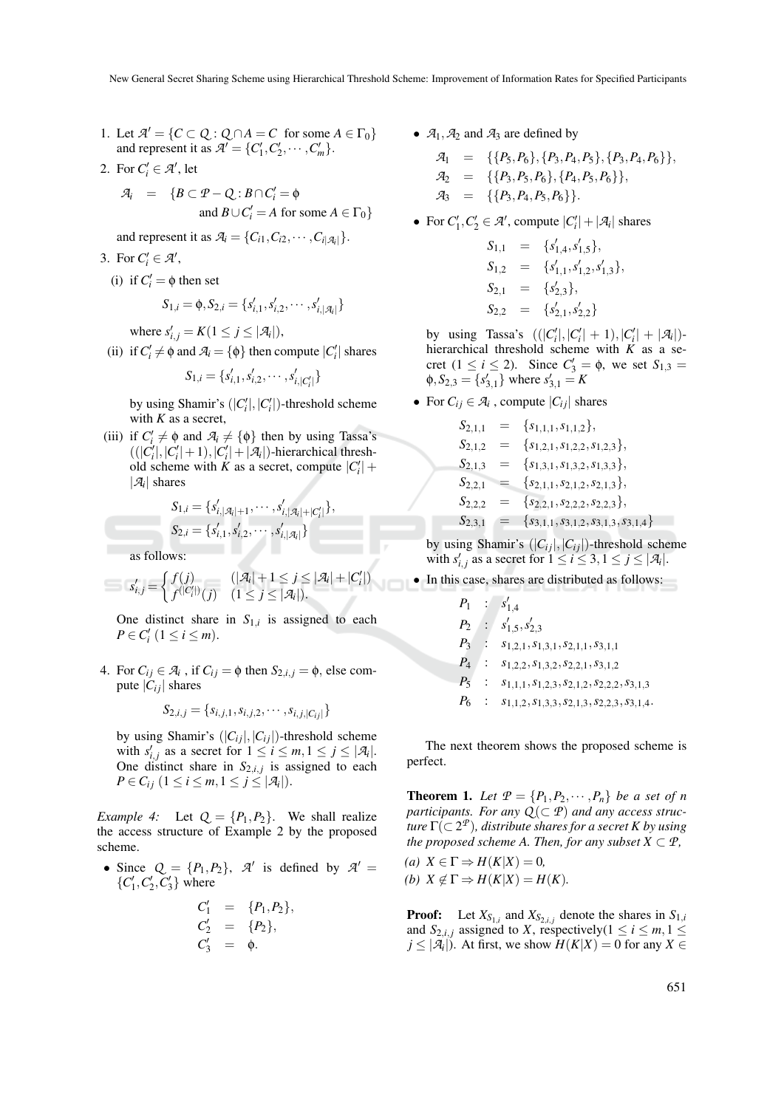- 1. Let  $\mathcal{A}' = \{C \subset Q : Q \cap A = C \text{ for some } A \in \Gamma_0\}$ and represent it as  $\mathcal{A}' = \{C'_1, C'_2, \cdots, C'_m\}.$
- 2. For  $C_i' \in \mathcal{A}'$ , let

$$
\mathcal{A}_i = \{ B \subset \mathcal{P} - \mathcal{Q} : B \cap C'_i = \emptyset
$$
  
and 
$$
B \cup C'_i = A \text{ for some } A \in \Gamma_0 \}
$$

and represent it as  $\mathcal{A}_i = \{C_{i1}, C_{i2}, \cdots, C_{i|\mathcal{A}_i|}\}.$ 

- 3. For  $C_i' \in \mathcal{A}'$ ,
	- (i) if  $C_i' = \phi$  then set

$$
S_{1,i} = \phi, S_{2,i} = \{s'_{i,1}, s'_{i,2}, \cdots, s'_{i,|\mathcal{A}_i|}\}
$$

where  $s'_{i,j} = K(1 \le j \le |\mathcal{A}_i|),$ 

(ii) if  $C'_i \neq \emptyset$  and  $\mathcal{A}_i = {\emptyset}$  then compute  $|C'_i|$  shares

$$
S_{1,i} = \{s'_{i,1}, s'_{i,2}, \cdots, s'_{i,|C'_i|}\}
$$

by using Shamir's  $(|C'_i|, |C'_i|)$ -threshold scheme with  $K$  as a secret,

(iii) if  $C_i' \neq \emptyset$  and  $\mathcal{A}_i \neq \{\emptyset\}$  then by using Tassa's  $((|C_i'|, |C_i'|+1), |C_i'|+|A_i|)$ -hierarchical threshold scheme with *K* as a secret, compute  $|C_i'|$  +  $|\mathcal{A}_i|$  shares

$$
S_{1,i} = \{s'_{i,|\mathcal{A}_i|+1}, \cdots, s'_{i,|\mathcal{A}_i|+|C'_i|}\},
$$
  

$$
S_{2,i} = \{s'_{i,1}, s'_{i,2}, \cdots, s'_{i,|\mathcal{A}_i|}\}\
$$

as follows:

$$
s'_{i,j} = \begin{cases} f(j) & (|\mathcal{A}_i|+1 \leq j \leq |\mathcal{A}_i|+|C'_i|) \\ f^{(|C'_i|)}(j) & (1 \leq j \leq |\mathcal{A}_i|). \end{cases}
$$

One distinct share in  $S_{1,i}$  is assigned to each *P* ∈ *C*<sup>*i*</sup></sup> (1 ≤ *i* ≤ *m*).

4. For  $C_{ij} \in \mathcal{A}_i$ , if  $C_{ij} = \phi$  then  $S_{2,i,j} = \phi$ , else compute  $|C_{ij}|$  shares

$$
S_{2,i,j} = \{s_{i,j,1}, s_{i,j,2}, \cdots, s_{i,j,|C_{ij}|\}
$$

by using Shamir's  $(|C_{ij}|,|C_{ij}|)$ -threshold scheme with  $s'_{i,j}$  as a secret for  $1 \leq i \leq m, 1 \leq j \leq |\mathcal{A}_i|$ . One distinct share in  $S_{2,i,j}$  is assigned to each *P* ∈ *C*<sub>*i*</sub> (1 ≤ *i* ≤ *m*, 1 ≤ *j* ≤ |*A*<sub>*i*</sub>|).

*Example 4:* Let  $Q = \{P_1, P_2\}$ . We shall realize the access structure of Example 2 by the proposed scheme.

• Since  $Q = \{P_1, P_2\}$ ,  $\mathcal{A}'$  is defined by  $\mathcal{A}' =$  $\{C_1', C_2', C_3'\}$  where

$$
C'_1 = \{P_1, P_2\},
$$
  
\n
$$
C'_2 = \{P_2\},
$$
  
\n
$$
C'_3 = \phi.
$$

•  $A_1$ ,  $A_2$  and  $A_3$  are defined by

$$
\mathcal{A}_1 = \{ \{P_5, P_6\}, \{P_3, P_4, P_5\}, \{P_3, P_4, P_6\} \},
$$
  
\n
$$
\mathcal{A}_2 = \{ \{P_3, P_5, P_6\}, \{P_4, P_5, P_6\} \},
$$
  
\n
$$
\mathcal{A}_3 = \{ \{P_3, P_4, P_5, P_6 \} \}.
$$

• For  $C_1', C_2' \in \mathcal{A}'$ , compute  $|C_i'| + |\mathcal{A}_i|$  shares

$$
S_{1,1} = \{s'_{1,4}, s'_{1,5}\},
$$
  
\n
$$
S_{1,2} = \{s'_{1,1}, s'_{1,2}, s'_{1,3}\},
$$
  
\n
$$
S_{2,1} = \{s'_{2,3}\},
$$
  
\n
$$
S_{2,2} = \{s'_{2,1}, s'_{2,2}\}
$$

by using Tassa's  $((|C'_i|, |C'_i| + 1), |C'_i| + |\mathcal{A}_i|)$ hierarchical threshold scheme with *K* as a secret  $(1 \le i \le 2)$ . Since  $C'_3 = \phi$ , we set  $S_{1,3} =$  $\phi$ ,  $S_{2,3} = \{s'_{3,1}\}\$  where  $s'_{3,1} = K$ 

• For  $C_{ij} \in \mathcal{A}_i$ , compute  $|C_{ij}|$  shares

$$
S_{2,1,1} = \{s_{1,1,1}, s_{1,1,2}\},
$$
  
\n
$$
S_{2,1,2} = \{s_{1,2,1}, s_{1,2,2}, s_{1,2,3}\},
$$
  
\n
$$
S_{2,1,3} = \{s_{1,3,1}, s_{1,3,2}, s_{1,3,3}\},
$$
  
\n
$$
S_{2,2,1} = \{s_{2,1,1}, s_{2,1,2}, s_{2,1,3}\},
$$
  
\n
$$
S_{2,2,2} = \{s_{2,2,1}, s_{2,2,2}, s_{2,2,3}\},
$$
  
\n
$$
S_{2,3,1} = \{s_{3,1,1}, s_{3,1,2}, s_{3,1,3}, s_{3,1,4}\}
$$

by using Shamir's  $(|C_{ij}|,|C_{ij}|)$ -threshold scheme with  $s'_{i,j}$  as a secret for  $1 \le i \le 3, 1 \le j \le |\mathcal{A}_i|$ .

• In this case, shares are distributed as follows:

$$
P_1 : s'_{1,4}
$$
  
\n
$$
P_2 : s'_{1,5}, s'_{2,3}
$$
  
\n
$$
P_3 : s_{1,2,1}, s_{1,3,1}, s_{2,1,1}, s_{3,1,1}
$$
  
\n
$$
P_4 : s_{1,2,2}, s_{1,3,2}, s_{2,2,1}, s_{3,1,2}
$$
  
\n
$$
P_5 : s_{1,1,1}, s_{1,2,3}, s_{2,1,2}, s_{2,2,2}, s_{3,1,3}
$$
  
\n
$$
P_6 : s_{1,1,2}, s_{1,3,3}, s_{2,1,3}, s_{2,2,3}, s_{3,1,4}
$$

The next theorem shows the proposed scheme is perfect.

**Theorem 1.** Let  $P = \{P_1, P_2, \dots, P_n\}$  be a set of n *participants. For any*  $Q(\subset P)$  *and any access structure* Γ(⊂ 2 *P* )*, distribute shares for a secret K by using the proposed scheme A. Then, for any subset*  $X \subset \mathcal{P}$ *,* 

 $(a)$   $X \in \Gamma \Rightarrow H(K|X) = 0$ , *(b)*  $X \notin \Gamma \Rightarrow H(K|X) = H(K)$ .

**Proof:** Let  $X_{S_{1,i}}$  and  $X_{S_{2,i,j}}$  denote the shares in  $S_{1,i}$ and *S*<sub>2,*i*,*j*</sub> assigned to *X*, respectively( $1 \le i \le m, 1 \le m$ *j* ≤ | $\mathcal{A}_i$ |). At first, we show  $H(K|X) = 0$  for any  $X \in$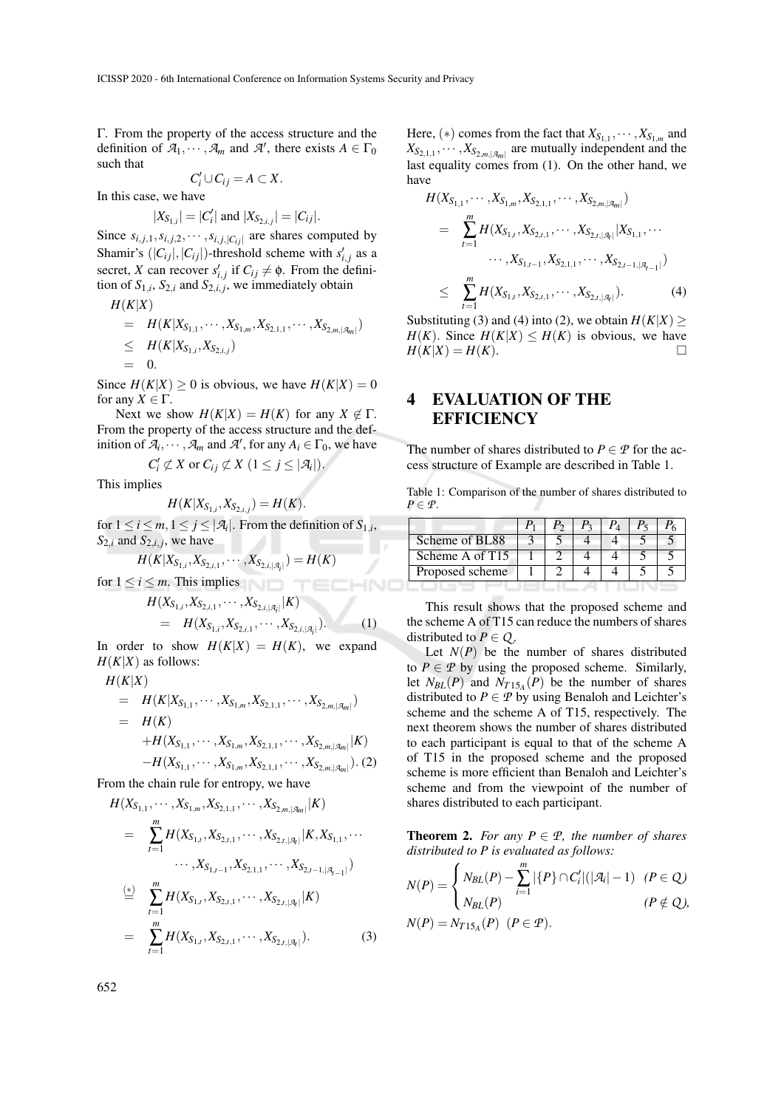Γ. From the property of the access structure and the definition of  $\mathcal{A}_1, \dots, \mathcal{A}_m$  and  $\mathcal{A}'$ , there exists  $A \in \Gamma_0$ such that

$$
C_i'\cup C_{ij}=A\subset X.
$$

In this case, we have

$$
|X_{S_{1,i}}| = |C'_i|
$$
 and  $|X_{S_{2,i,j}}| = |C_{ij}|$ .

Since  $s_{i,j,1}, s_{i,j,2}, \cdots, s_{i,j,|C_{ij}|}$  are shares computed by Shamir's  $(|C_{ij}|, |C_{ij}|)$ -threshold scheme with  $s'_{i,j}$  as a secret, *X* can recover  $s'_{i,j}$  if  $C_{ij} \neq \emptyset$ . From the definition of  $S_{1,i}$ ,  $S_{2,i}$  and  $S_{2,i,j}$ , we immediately obtain

$$
H(K|X)
$$
  
=  $H(K|X_{S_{1,1}},\cdots,X_{S_{1,m}},X_{S_{2,1,1}},\cdots,X_{S_{2,m,|\mathcal{A}_m|}})$   
 $\leq H(K|X_{S_{1,i}},X_{S_{2,i,j}})$   
= 0.

Since  $H(K|X) > 0$  is obvious, we have  $H(K|X) = 0$ for any  $X \in \Gamma$ .

Next we show  $H(K|X) = H(K)$  for any  $X \notin \Gamma$ . From the property of the access structure and the definition of  $\mathcal{A}_i, \dots, \mathcal{A}_m$  and  $\mathcal{A}'$ , for any  $A_i \in \Gamma_0$ , we have

$$
C_i' \not\subset X \text{ or } C_{ij} \not\subset X \ (1 \leq j \leq |\mathcal{A}_i|).
$$

This implies

$$
H(K|X_{S_{1,i}},X_{S_{2,i,j}}) = H(K).
$$

for  $1 \leq i \leq m, 1 \leq j \leq |\mathcal{A}_i|$ . From the definition of  $S_{1,i}$ ,  $S_{2,i}$  and  $S_{2,i,j}$ , we have

$$
H(K|X_{S_{1,i}},X_{S_{2,i,1}},\cdots,X_{S_{2,i,|\mathcal{A}_i|}})=H(K)
$$

for  $1 \le i \le m$ . This implies

$$
H(X_{S_{1,i}}, X_{S_{2,i,1}}, \cdots, X_{S_{2,i,|\mathcal{A}_i|}}|K)
$$
  
=  $H(X_{S_{1,i}}, X_{S_{2,i,1}}, \cdots, X_{S_{2,i,|\mathcal{A}_i|}}).$  (1)

TECHNO

In order to show  $H(K|X) = H(K)$ , we expand  $H(K|X)$  as follows:

$$
H(K|X)
$$
  
=  $H(K|X_{S_{1,1}}, \cdots, X_{S_{1,m}}, X_{S_{2,1,1}}, \cdots, X_{S_{2,m,|\mathcal{A}_m|}})$   
=  $H(K)$   
+ $H(X_{S_{1,1}}, \cdots, X_{S_{1,m}}, X_{S_{2,1,1}}, \cdots, X_{S_{2,m,|\mathcal{A}_m|}}|K)$   
- $H(X_{S_{1,1}}, \cdots, X_{S_{1,m}}, X_{S_{2,1,1}}, \cdots, X_{S_{2,m,|\mathcal{A}_m|}}).$  (2)

From the chain rule for entropy, we have

$$
H(X_{S_{1,1}},\cdots,X_{S_{1,m}},X_{S_{2,1,1}},\cdots,X_{S_{2,m,|\mathcal{A}_m|}}|K)
$$
\n
$$
= \sum_{t=1}^{m} H(X_{S_{1,t}},X_{S_{2,t,1}},\cdots,X_{S_{2,t,|\mathcal{A}_t|}}|K,X_{S_{1,1}},\cdots
$$
\n
$$
\cdots,X_{S_{1,t-1}},X_{S_{2,1,1}},\cdots,X_{S_{2,t-1,|\mathcal{A}_{t-1}|}})
$$
\n
$$
\stackrel{(*)}{=} \sum_{t=1}^{m} H(X_{S_{1,t}},X_{S_{2,t,1}},\cdots,X_{S_{2,t,|\mathcal{A}_t|}}|K)
$$
\n
$$
= \sum_{t=1}^{m} H(X_{S_{1,t}},X_{S_{2,t,1}},\cdots,X_{S_{2,t,|\mathcal{A}_t|}}). \tag{3}
$$

Here,  $(*)$  comes from the fact that  $X_{S_{1,1}}, \dots, X_{S_{1,m}}$  and  $X_{S_{2,1,1}}, \cdots, X_{S_{2,m,|\mathcal{A}_m|}}$  are mutually independent and the last equality comes from (1). On the other hand, we have

$$
H(X_{S_{1,1}},\cdots,X_{S_{1,m}},X_{S_{2,1,1}},\cdots,X_{S_{2,m,|\mathcal{A}_m|}})
$$
\n
$$
= \sum_{t=1}^{m} H(X_{S_{1,t}},X_{S_{2,t,1}},\cdots,X_{S_{2,t,|\mathcal{A}_t|}}|X_{S_{1,1}},\cdots
$$
\n
$$
\cdots,X_{S_{1,t-1}},X_{S_{2,1,1}},\cdots,X_{S_{2,t-1,|\mathcal{A}_{t-1}|}})
$$
\n
$$
\leq \sum_{t=1}^{m} H(X_{S_{1,t}},X_{S_{2,t,1}},\cdots,X_{S_{2,t,|\mathcal{A}_t|}}). \tag{4}
$$

Substituting (3) and (4) into (2), we obtain  $H(K|X) \ge$  $H(K)$ . Since  $H(K|X) \leq H(K)$  is obvious, we have  $H(K|X) = H(K).$ 

# 4 EVALUATION OF THE **EFFICIENCY**

The number of shares distributed to  $P \in \mathcal{P}$  for the access structure of Example are described in Table 1.

Table 1: Comparison of the number of shares distributed to  $P \in \mathcal{P}$ .

|                 |  | $P_{2}$ |  |  |
|-----------------|--|---------|--|--|
| Scheme of BL88  |  |         |  |  |
| Scheme A of T15 |  |         |  |  |
| Proposed scheme |  |         |  |  |
|                 |  |         |  |  |

This result shows that the proposed scheme and the scheme A of T15 can reduce the numbers of shares distributed to  $P \in Q$ .

Let  $N(P)$  be the number of shares distributed to  $P \in \mathcal{P}$  by using the proposed scheme. Similarly, let  $N_{BL}(P)$  and  $N_{T15_A}(P)$  be the number of shares distributed to  $P \in \mathcal{P}$  by using Benaloh and Leichter's scheme and the scheme A of T15, respectively. The next theorem shows the number of shares distributed to each participant is equal to that of the scheme A of T15 in the proposed scheme and the proposed scheme is more efficient than Benaloh and Leichter's scheme and from the viewpoint of the number of shares distributed to each participant.

**Theorem 2.** *For any*  $P \in \mathcal{P}$ *, the number of shares distributed to P is evaluated as follows:*

$$
N(P) = \begin{cases} N_{BL}(P) - \sum_{i=1}^{m} |\{P\} \cap C'_i| (|\mathcal{A}_i| - 1) & (P \in Q) \\ N_{BL}(P) & (P \notin Q), \end{cases}
$$
  

$$
N(P) = N_{T15_A}(P) \quad (P \in \mathcal{P}).
$$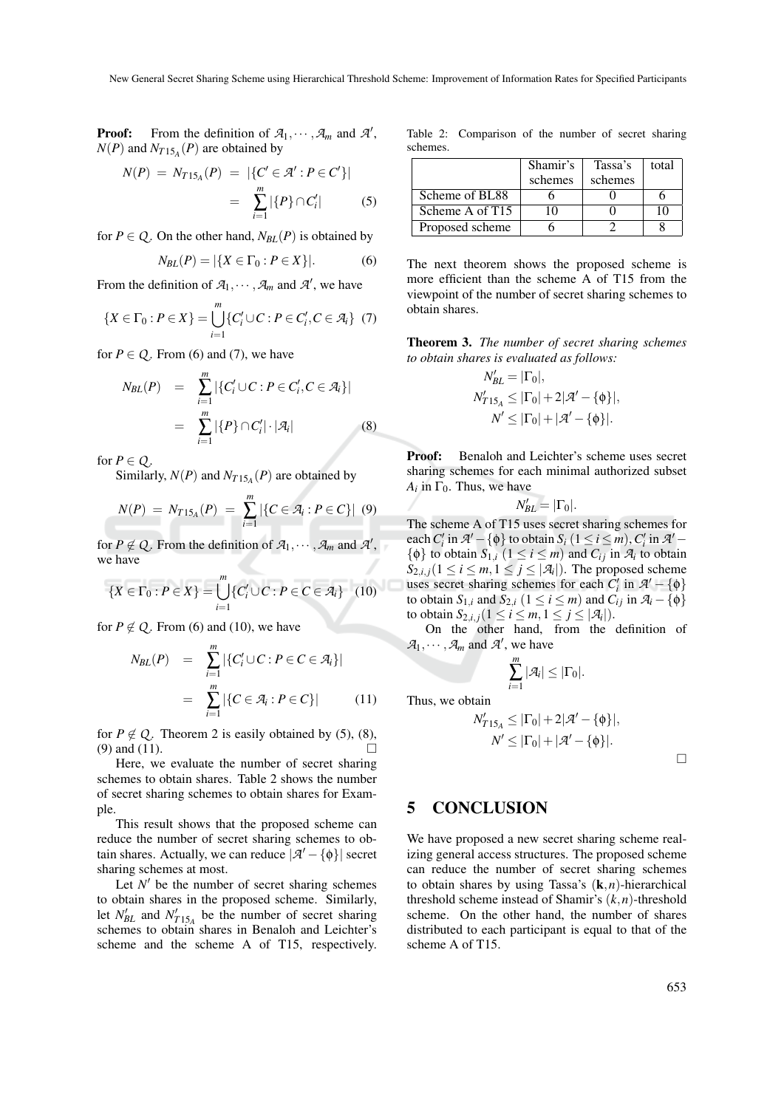**Proof:** From the definition of  $\mathcal{A}_1, \dots, \mathcal{A}_m$  and  $\mathcal{A}'$ ,  $N(P)$  and  $N_{T15_A}(P)$  are obtained by

$$
N(P) = N_{T15_A}(P) = |\{C' \in \mathcal{A}' : P \in C'\}|
$$
  
= 
$$
\sum_{i=1}^{m} |\{P\} \cap C'_i|
$$
 (5)

for  $P \in Q$ . On the other hand,  $N_{BL}(P)$  is obtained by

$$
N_{BL}(P) = |\{X \in \Gamma_0 : P \in X\}|. \tag{6}
$$

From the definition of  $\mathcal{A}_1, \dots, \mathcal{A}_m$  and  $\mathcal{A}'$ , we have

$$
\{X \in \Gamma_0 : P \in X\} = \bigcup_{i=1}^m \{C_i' \cup C : P \in C_i', C \in \mathcal{A}_i\} \tag{7}
$$

for  $P \in Q$ . From (6) and (7), we have

$$
N_{BL}(P) = \sum_{i=1}^{m} |\{C'_i \cup C : P \in C'_i, C \in \mathcal{A}_i\}|
$$
  
= 
$$
\sum_{i=1}^{m} |\{P\} \cap C'_i| \cdot |\mathcal{A}_i|
$$
 (8)

for  $P \in Q$ .

Similarly,  $N(P)$  and  $N_{T15_A}(P)$  are obtained by

$$
N(P) = N_{T15_A}(P) = \sum_{i=1}^{m} |\{C \in \mathcal{A}_i : P \in C\}| \tag{9}
$$

for  $P \notin Q$ . From the definition of  $\mathcal{A}_1, \dots, \mathcal{A}_m$  and  $\mathcal{A}'$ , we have

$$
\{X \in \Gamma_0 : P \in X\} = \bigcup_{i=1}^m \{C_i' \cup C : P \in C \in \mathcal{A}_i\} \quad (10)
$$

for  $P \notin Q$ . From (6) and (10), we have

$$
N_{BL}(P) = \sum_{i=1}^{m} |\{C'_i \cup C : P \in C \in \mathcal{A}_i\}|
$$
  
= 
$$
\sum_{i=1}^{m} |\{C \in \mathcal{A}_i : P \in C\}|
$$
(11)

for  $P \notin Q$ . Theorem 2 is easily obtained by (5), (8), (9) and (11).

Here, we evaluate the number of secret sharing schemes to obtain shares. Table 2 shows the number of secret sharing schemes to obtain shares for Example.

This result shows that the proposed scheme can reduce the number of secret sharing schemes to obtain shares. Actually, we can reduce  $|\mathcal{A}' - \{\phi\}|$  secret sharing schemes at most.

Let  $N'$  be the number of secret sharing schemes to obtain shares in the proposed scheme. Similarly, let  $N'_{BL}$  and  $N'_{T15_A}$  be the number of secret sharing schemes to obtain shares in Benaloh and Leichter's scheme and the scheme A of T15, respectively.

Table 2: Comparison of the number of secret sharing schemes.

|                 | Shamir's | Tassa's | total |
|-----------------|----------|---------|-------|
|                 | schemes  | schemes |       |
| Scheme of BL88  |          |         |       |
| Scheme A of T15 | ۱۸       |         |       |
| Proposed scheme |          |         |       |

The next theorem shows the proposed scheme is more efficient than the scheme A of T15 from the viewpoint of the number of secret sharing schemes to obtain shares.

Theorem 3. *The number of secret sharing schemes to obtain shares is evaluated as follows:*

$$
N'_{BL} = |\Gamma_0|,
$$
  
\n
$$
N'_{T15_A} \leq |\Gamma_0| + 2|\mathcal{A}' - {\phi}|,
$$
  
\n
$$
N' \leq |\Gamma_0| + |\mathcal{A}' - {\phi}|.
$$

Proof: Benaloh and Leichter's scheme uses secret sharing schemes for each minimal authorized subset  $A_i$  in  $\Gamma_0$ . Thus, we have

$$
N_{BL}^{\prime }=|\Gamma _{0}|.
$$

The scheme A of T15 uses secret sharing schemes for each  $C_i'$  in  $\mathcal{A}' - \{\phi\}$  to obtain  $S_i$  (1 ≤ *i* ≤ *m*),  $C_i'$  in  $\mathcal{A}'$  –  $\{\phi\}$  to obtain  $S_{1,i}$   $(1 \le i \le m)$  and  $C_{ij}$  in  $\mathcal{A}_i$  to obtain  $S_{2,i,j}$ ( $1 \le i \le m, 1 \le j \le |\mathcal{A}_i|$ ). The proposed scheme uses secret sharing schemes for each  $C_i'$  in  $\mathcal{A}' - \{\phi\}$ to obtain  $S_{1,i}$  and  $S_{2,i}$  ( $1 \le i \le m$ ) and  $C_{ij}$  in  $\mathcal{A}_i - \{\phi\}$ to obtain  $S_{2,i,j}$   $(1 \leq i \leq m, 1 \leq j \leq |\mathcal{A}_i|)$ .

On the other hand, from the definition of  $\mathcal{A}_1, \cdots, \mathcal{A}_m$  and  $\mathcal{A}'$ , we have

$$
\sum_{i=1}^m |\mathcal{A}_i| \leq |\Gamma_0|.
$$

Thus, we obtain

$$
N'_{T15_A} \leq |\Gamma_0| + 2|\mathcal{A}' - {\phi}\}|,
$$
  

$$
N' \leq |\Gamma_0| + |\mathcal{A}' - {\phi}\}|.
$$

# 5 CONCLUSION

We have proposed a new secret sharing scheme realizing general access structures. The proposed scheme can reduce the number of secret sharing schemes to obtain shares by using Tassa's (k,*n*)-hierarchical threshold scheme instead of Shamir's (*k*,*n*)-threshold scheme. On the other hand, the number of shares distributed to each participant is equal to that of the scheme A of T15.

 $\Box$